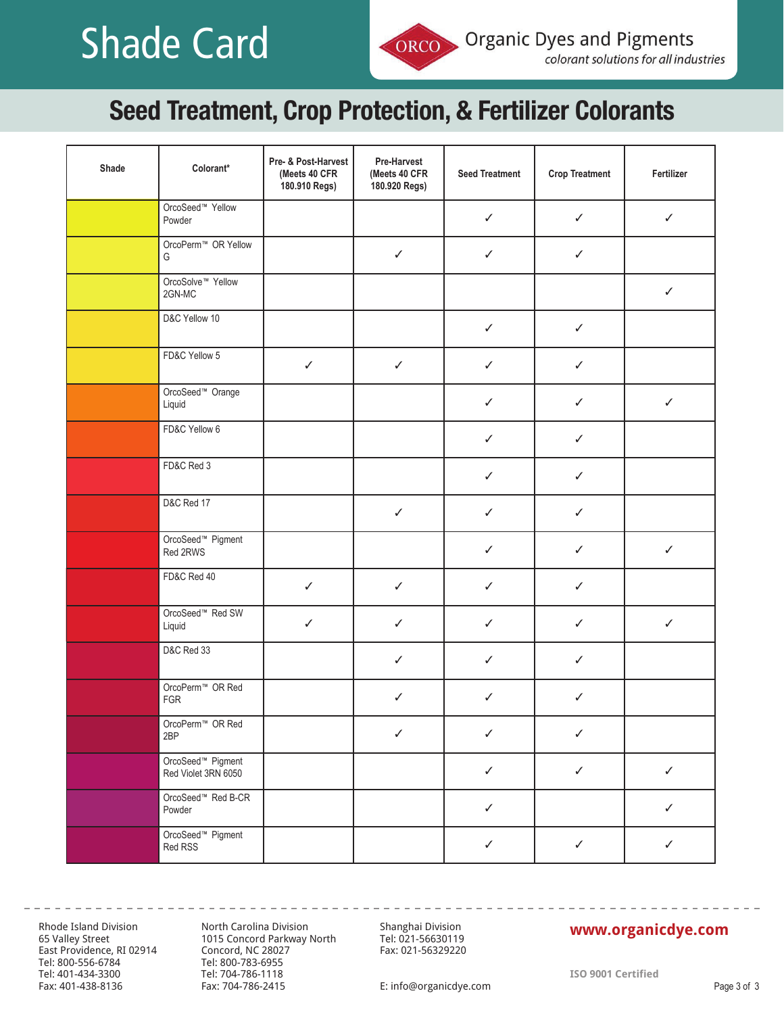# **Technical Shade Card**

## Seed Treatment, Crop Protection, & Fertilizer Colorants

| Shade | Colorant*                                            | Pre- & Post-Harvest<br>(Meets 40 CFR<br>180.910 Regs) | Pre-Harvest<br>(Meets 40 CFR<br>180.920 Regs) | <b>Seed Treatment</b> | <b>Crop Treatment</b> | Fertilizer   |
|-------|------------------------------------------------------|-------------------------------------------------------|-----------------------------------------------|-----------------------|-----------------------|--------------|
|       | OrcoSeed <sup>™</sup> Yellow<br>Powder               |                                                       |                                               | ✓                     | $\checkmark$          | $\checkmark$ |
|       | OrcoPerm™ OR Yellow<br>G                             |                                                       | $\checkmark$                                  | $\checkmark$          | $\checkmark$          |              |
|       | OrcoSolve <sup>™</sup> Yellow<br>2GN-MC              |                                                       |                                               |                       |                       | $\checkmark$ |
|       | D&C Yellow 10                                        |                                                       |                                               | $\checkmark$          | $\checkmark$          |              |
|       | FD&C Yellow 5                                        | $\checkmark$                                          | $\checkmark$                                  | ✓                     | $\checkmark$          |              |
|       | OrcoSeed <sup>™</sup> Orange<br>Liquid               |                                                       |                                               | ✓                     | $\checkmark$          | $\checkmark$ |
|       | FD&C Yellow 6                                        |                                                       |                                               | $\checkmark$          | $\checkmark$          |              |
|       | FD&C Red 3                                           |                                                       |                                               | ✓                     | ✓                     |              |
|       | <b>D&amp;C Red 17</b>                                |                                                       | $\checkmark$                                  | $\checkmark$          | $\checkmark$          |              |
|       | OrcoSeed <sup>™</sup> Pigment<br>Red 2RWS            |                                                       |                                               | $\checkmark$          | $\checkmark$          | $\checkmark$ |
|       | FD&C Red 40                                          | $\checkmark$                                          | $\checkmark$                                  | ✓                     | $\checkmark$          |              |
|       | OrcoSeed <sup>™</sup> Red SW<br>Liquid               | $\checkmark$                                          | $\checkmark$                                  | $\checkmark$          | $\checkmark$          | $\checkmark$ |
|       | D&C Red 33                                           |                                                       | ✓                                             | ✓                     | ✓                     |              |
|       | OrcoPerm <sup>™</sup> OR Red<br>FGR                  |                                                       | $\checkmark$                                  | ✓                     | $\checkmark$          |              |
|       | OrcoPerm <sup>™</sup> OR Red<br>2BP                  |                                                       | $\checkmark$                                  | $\checkmark$          | $\checkmark$          |              |
|       | OrcoSeed <sup>™</sup> Pigment<br>Red Violet 3RN 6050 |                                                       |                                               | $\checkmark$          | $\checkmark$          | $\checkmark$ |
|       | OrcoSeed™ Red B-CR<br>Powder                         |                                                       |                                               | $\checkmark$          |                       | $\checkmark$ |
|       | OrcoSeed <sup>™</sup> Pigment<br>Red RSS             |                                                       |                                               | $\checkmark$          | $\checkmark$          | $\checkmark$ |

Rhode Island Division 65 Valley Street East Providence, RI 02914 Tel: 800-556-6784 Tel: 401-434-3300 Tel: 800-556-6784 Fax: 401-438-8136

North Carolina Division 1015 Concord Parkway North Concord, NC 28027 Tel: 800-783-6955 Tel: 704-786-1118 Fax: 704-786-2415

----------------------

Shanghai Division Tel: 021-56630119 Fax: 021-56329220

### **www.organicdye.com www.organicdye.com**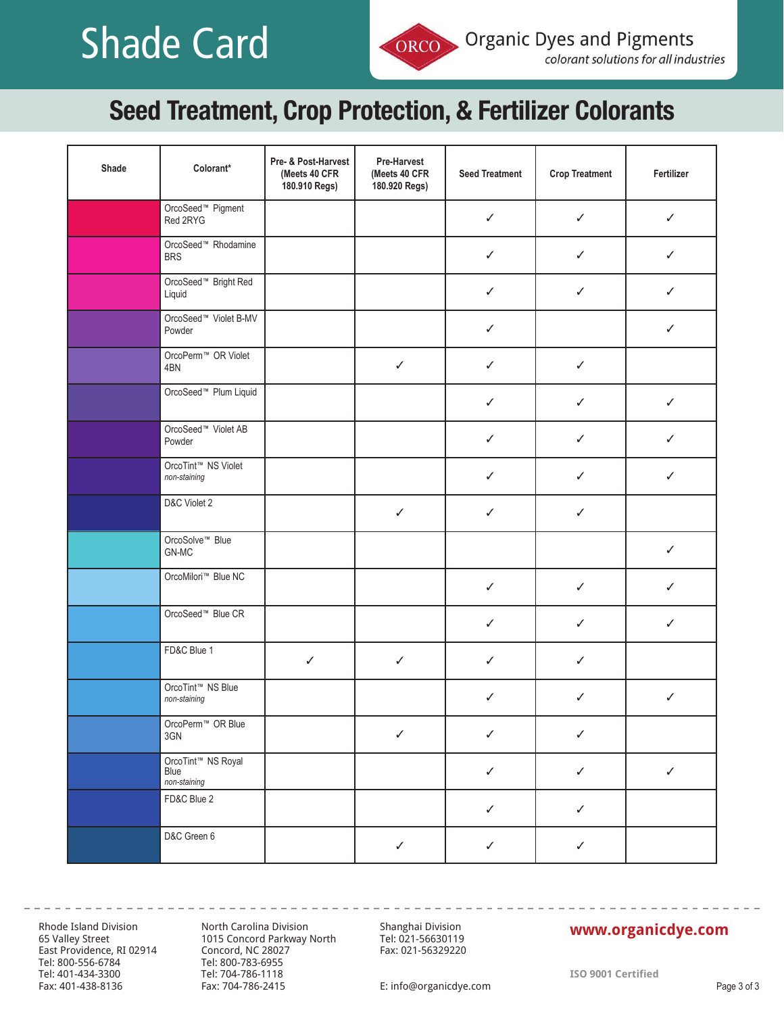# **Technical Shade Card**

## Seed Treatment, Crop Protection, & Fertilizer Colorants

| Shade | Colorant*                                     | Pre- & Post-Harvest<br>(Meets 40 CFR<br>180.910 Regs) | Pre-Harvest<br>(Meets 40 CFR<br>180.920 Regs) | <b>Seed Treatment</b> | <b>Crop Treatment</b> | Fertilizer   |
|-------|-----------------------------------------------|-------------------------------------------------------|-----------------------------------------------|-----------------------|-----------------------|--------------|
|       | OrcoSeed <sup>™</sup> Pigment<br>Red 2RYG     |                                                       |                                               | ✓                     | $\checkmark$          | $\checkmark$ |
|       | OrcoSeed <sup>™</sup> Rhodamine<br><b>BRS</b> |                                                       |                                               | $\checkmark$          | $\checkmark$          | $\checkmark$ |
|       | OrcoSeed <sup>™</sup> Bright Red<br>Liquid    |                                                       |                                               | ✓                     | ✓                     | ✓            |
|       | OrcoSeed™ Violet B-MV<br>Powder               |                                                       |                                               | $\checkmark$          |                       | $\checkmark$ |
|       | OrcoPerm <sup>™</sup> OR Violet<br>4BN        |                                                       | $\checkmark$                                  | ✓                     | ✓                     |              |
|       | OrcoSeed <sup>™</sup> Plum Liquid             |                                                       |                                               | ✓                     | $\checkmark$          | $\checkmark$ |
|       | OrcoSeed™ Violet AB<br>Powder                 |                                                       |                                               | $\checkmark$          | $\checkmark$          | $\checkmark$ |
|       | OrcoTint™ NS Violet<br>non-staining           |                                                       |                                               | ✓                     | ✓                     | ✓            |
|       | D&C Violet 2                                  |                                                       | $\checkmark$                                  | $\checkmark$          | $\checkmark$          |              |
|       | OrcoSolve <sup>™</sup> Blue<br>GN-MC          |                                                       |                                               |                       |                       | ✓            |
|       | OrcoMilori™ Blue NC                           |                                                       |                                               | $\checkmark$          | $\checkmark$          | $\checkmark$ |
|       | OrcoSeed <sup>™</sup> Blue CR                 |                                                       |                                               | $\checkmark$          | $\checkmark$          | $\checkmark$ |
|       | FD&C Blue 1                                   | $\checkmark$                                          | $\checkmark$                                  | ✓                     | ✓                     |              |
|       | OrcoTint™ NS Blue<br>non-staining             |                                                       |                                               | ✓                     | ✓                     | $\checkmark$ |
|       | OrcoPerm <sup>™</sup> OR Blue<br>3GN          |                                                       | $\checkmark$                                  | $\checkmark$          | ✓                     |              |
|       | OrcoTint™ NS Royal<br>Blue<br>non-staining    |                                                       |                                               | $\checkmark$          | $\checkmark$          | $\checkmark$ |
|       | FD&C Blue 2                                   |                                                       |                                               | $\checkmark$          | $\checkmark$          |              |
|       | D&C Green 6                                   |                                                       | $\checkmark$                                  | $\checkmark$          | $\checkmark$          |              |

Rhode Island Division 65 Valley Street East Providence, RI 02914 Concord, NC 28027 Tel: 800-556-6784 Tel: 401-434-3300 Tel: 800-556-6784 Fax: 401-438-8136

-----------------

North Carolina Division 1015 Concord Parkway North Tel: 800-783-6955 Tel: 704-786-1118 Fax: 704-786-2415

Shanghai Division Tel: 021-56630119 Fax: 021-56329220

### **www.organicdye.com www.organicdye.com**